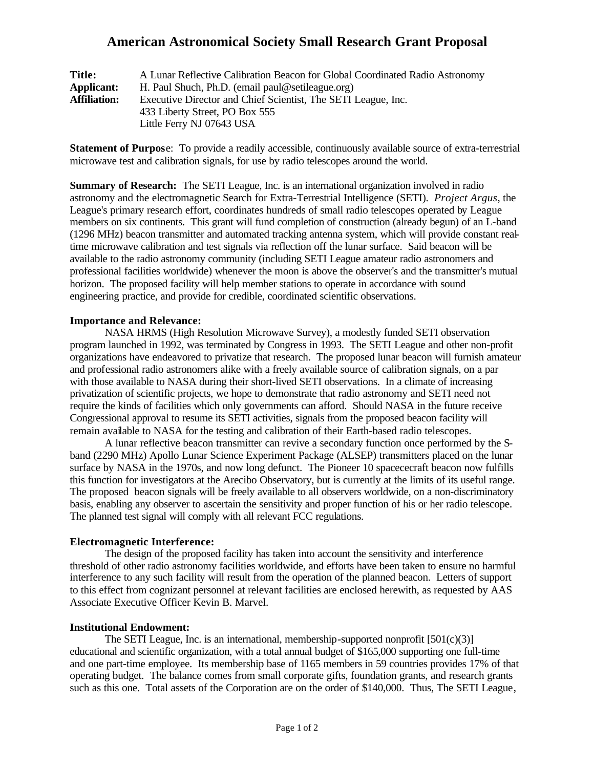## **American Astronomical Society Small Research Grant Proposal**

| <b>Title:</b>       | A Lunar Reflective Calibration Beacon for Global Coordinated Radio Astronomy |
|---------------------|------------------------------------------------------------------------------|
| <b>Applicant:</b>   | H. Paul Shuch, Ph.D. (email paul@setileague.org)                             |
| <b>Affiliation:</b> | Executive Director and Chief Scientist, The SETI League, Inc.                |
|                     | 433 Liberty Street, PO Box 555                                               |
|                     | Little Ferry NJ 07643 USA                                                    |

**Statement of Purpose:** To provide a readily accessible, continuously available source of extra-terrestrial microwave test and calibration signals, for use by radio telescopes around the world.

**Summary of Research:** The SETI League, Inc. is an international organization involved in radio astronomy and the electromagnetic Search for Extra-Terrestrial Intelligence (SETI). *Project Argus*, the League's primary research effort, coordinates hundreds of small radio telescopes operated by League members on six continents. This grant will fund completion of construction (already begun) of an L-band (1296 MHz) beacon transmitter and automated tracking antenna system, which will provide constant realtime microwave calibration and test signals via reflection off the lunar surface. Said beacon will be available to the radio astronomy community (including SETI League amateur radio astronomers and professional facilities worldwide) whenever the moon is above the observer's and the transmitter's mutual horizon. The proposed facility will help member stations to operate in accordance with sound engineering practice, and provide for credible, coordinated scientific observations.

## **Importance and Relevance:**

NASA HRMS (High Resolution Microwave Survey), a modestly funded SETI observation program launched in 1992, was terminated by Congress in 1993. The SETI League and other non-profit organizations have endeavored to privatize that research. The proposed lunar beacon will furnish amateur and professional radio astronomers alike with a freely available source of calibration signals, on a par with those available to NASA during their short-lived SETI observations. In a climate of increasing privatization of scientific projects, we hope to demonstrate that radio astronomy and SETI need not require the kinds of facilities which only governments can afford. Should NASA in the future receive Congressional approval to resume its SETI activities, signals from the proposed beacon facility will remain available to NASA for the testing and calibration of their Earth-based radio telescopes.

A lunar reflective beacon transmitter can revive a secondary function once performed by the Sband (2290 MHz) Apollo Lunar Science Experiment Package (ALSEP) transmitters placed on the lunar surface by NASA in the 1970s, and now long defunct. The Pioneer 10 spacececraft beacon now fulfills this function for investigators at the Arecibo Observatory, but is currently at the limits of its useful range. The proposed beacon signals will be freely available to all observers worldwide, on a non-discriminatory basis, enabling any observer to ascertain the sensitivity and proper function of his or her radio telescope. The planned test signal will comply with all relevant FCC regulations.

## **Electromagnetic Interference:**

The design of the proposed facility has taken into account the sensitivity and interference threshold of other radio astronomy facilities worldwide, and efforts have been taken to ensure no harmful interference to any such facility will result from the operation of the planned beacon. Letters of support to this effect from cognizant personnel at relevant facilities are enclosed herewith, as requested by AAS Associate Executive Officer Kevin B. Marvel.

#### **Institutional Endowment:**

The SETI League, Inc. is an international, membership-supported nonprofit  $[501(c)(3)]$ educational and scientific organization, with a total annual budget of \$165,000 supporting one full-time and one part-time employee. Its membership base of 1165 members in 59 countries provides 17% of that operating budget. The balance comes from small corporate gifts, foundation grants, and research grants such as this one. Total assets of the Corporation are on the order of \$140,000. Thus, The SETI League,